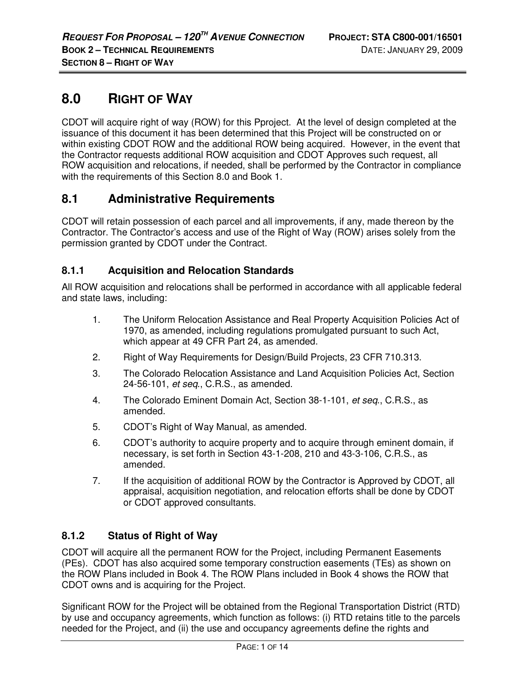# **8.0 RIGHT OF WAY**

CDOT will acquire right of way (ROW) for this Pproject. At the level of design completed at the issuance of this document it has been determined that this Project will be constructed on or within existing CDOT ROW and the additional ROW being acquired. However, in the event that the Contractor requests additional ROW acquisition and CDOT Approves such request, all ROW acquisition and relocations, if needed, shall be performed by the Contractor in compliance with the requirements of this Section 8.0 and Book 1.

# **8.1 Administrative Requirements**

CDOT will retain possession of each parcel and all improvements, if any, made thereon by the Contractor. The Contractor's access and use of the Right of Way (ROW) arises solely from the permission granted by CDOT under the Contract.

# **8.1.1 Acquisition and Relocation Standards**

All ROW acquisition and relocations shall be performed in accordance with all applicable federal and state laws, including:

- 1. The Uniform Relocation Assistance and Real Property Acquisition Policies Act of 1970, as amended, including regulations promulgated pursuant to such Act, which appear at 49 CFR Part 24, as amended.
- 2. Right of Way Requirements for Design/Build Projects, 23 CFR 710.313.
- 3. The Colorado Relocation Assistance and Land Acquisition Policies Act, Section 24-56-101, et seq., C.R.S., as amended.
- 4. The Colorado Eminent Domain Act, Section 38-1-101, et seq., C.R.S., as amended.
- 5. CDOT's Right of Way Manual, as amended.
- 6. CDOT's authority to acquire property and to acquire through eminent domain, if necessary, is set forth in Section 43-1-208, 210 and 43-3-106, C.R.S., as amended.
- 7. If the acquisition of additional ROW by the Contractor is Approved by CDOT, all appraisal, acquisition negotiation, and relocation efforts shall be done by CDOT or CDOT approved consultants.

# **8.1.2 Status of Right of Way**

CDOT will acquire all the permanent ROW for the Project, including Permanent Easements (PEs). CDOT has also acquired some temporary construction easements (TEs) as shown on the ROW Plans included in Book 4. The ROW Plans included in Book 4 shows the ROW that CDOT owns and is acquiring for the Project.

Significant ROW for the Project will be obtained from the Regional Transportation District (RTD) by use and occupancy agreements, which function as follows: (i) RTD retains title to the parcels needed for the Project, and (ii) the use and occupancy agreements define the rights and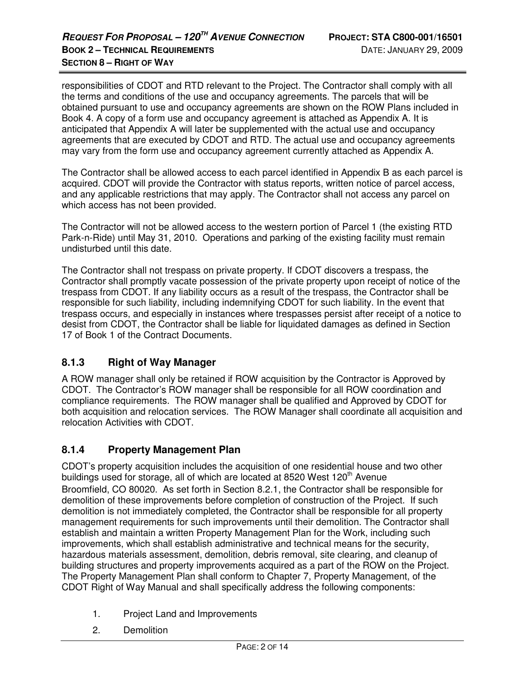responsibilities of CDOT and RTD relevant to the Project. The Contractor shall comply with all the terms and conditions of the use and occupancy agreements. The parcels that will be obtained pursuant to use and occupancy agreements are shown on the ROW Plans included in Book 4. A copy of a form use and occupancy agreement is attached as Appendix A. It is anticipated that Appendix A will later be supplemented with the actual use and occupancy agreements that are executed by CDOT and RTD. The actual use and occupancy agreements may vary from the form use and occupancy agreement currently attached as Appendix A.

The Contractor shall be allowed access to each parcel identified in Appendix B as each parcel is acquired. CDOT will provide the Contractor with status reports, written notice of parcel access, and any applicable restrictions that may apply. The Contractor shall not access any parcel on which access has not been provided.

The Contractor will not be allowed access to the western portion of Parcel 1 (the existing RTD Park-n-Ride) until May 31, 2010. Operations and parking of the existing facility must remain undisturbed until this date.

The Contractor shall not trespass on private property. If CDOT discovers a trespass, the Contractor shall promptly vacate possession of the private property upon receipt of notice of the trespass from CDOT. If any liability occurs as a result of the trespass, the Contractor shall be responsible for such liability, including indemnifying CDOT for such liability. In the event that trespass occurs, and especially in instances where trespasses persist after receipt of a notice to desist from CDOT, the Contractor shall be liable for liquidated damages as defined in Section 17 of Book 1 of the Contract Documents.

# **8.1.3 Right of Way Manager**

A ROW manager shall only be retained if ROW acquisition by the Contractor is Approved by CDOT. The Contractor's ROW manager shall be responsible for all ROW coordination and compliance requirements. The ROW manager shall be qualified and Approved by CDOT for both acquisition and relocation services. The ROW Manager shall coordinate all acquisition and relocation Activities with CDOT.

# **8.1.4 Property Management Plan**

CDOT's property acquisition includes the acquisition of one residential house and two other buildings used for storage, all of which are located at 8520 West 120<sup>th</sup> Avenue Broomfield, CO 80020. As set forth in Section 8.2.1, the Contractor shall be responsible for demolition of these improvements before completion of construction of the Project. If such demolition is not immediately completed, the Contractor shall be responsible for all property management requirements for such improvements until their demolition. The Contractor shall establish and maintain a written Property Management Plan for the Work, including such improvements, which shall establish administrative and technical means for the security, hazardous materials assessment, demolition, debris removal, site clearing, and cleanup of building structures and property improvements acquired as a part of the ROW on the Project. The Property Management Plan shall conform to Chapter 7, Property Management, of the CDOT Right of Way Manual and shall specifically address the following components:

- 1. Project Land and Improvements
- 2. Demolition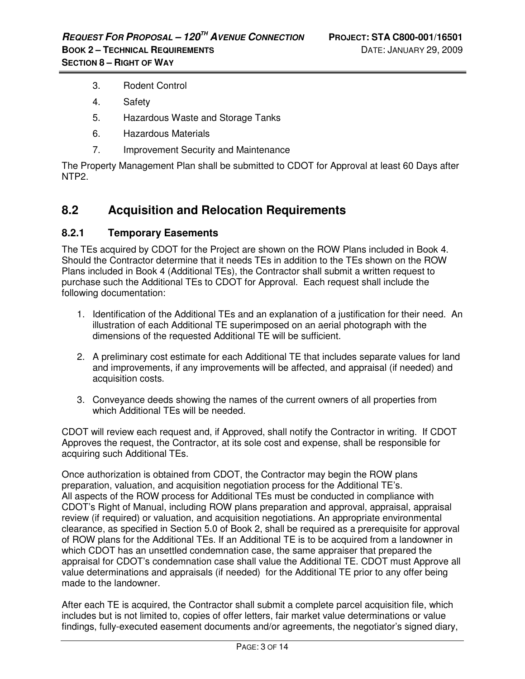- 3. Rodent Control
- 4. Safety
- 5. Hazardous Waste and Storage Tanks
- 6. Hazardous Materials
- 7. Improvement Security and Maintenance

The Property Management Plan shall be submitted to CDOT for Approval at least 60 Days after NTP2.

# **8.2 Acquisition and Relocation Requirements**

#### **8.2.1 Temporary Easements**

The TEs acquired by CDOT for the Project are shown on the ROW Plans included in Book 4. Should the Contractor determine that it needs TEs in addition to the TEs shown on the ROW Plans included in Book 4 (Additional TEs), the Contractor shall submit a written request to purchase such the Additional TEs to CDOT for Approval. Each request shall include the following documentation:

- 1. Identification of the Additional TEs and an explanation of a justification for their need. An illustration of each Additional TE superimposed on an aerial photograph with the dimensions of the requested Additional TE will be sufficient.
- 2. A preliminary cost estimate for each Additional TE that includes separate values for land and improvements, if any improvements will be affected, and appraisal (if needed) and acquisition costs.
- 3. Conveyance deeds showing the names of the current owners of all properties from which Additional TEs will be needed.

CDOT will review each request and, if Approved, shall notify the Contractor in writing. If CDOT Approves the request, the Contractor, at its sole cost and expense, shall be responsible for acquiring such Additional TEs.

Once authorization is obtained from CDOT, the Contractor may begin the ROW plans preparation, valuation, and acquisition negotiation process for the Additional TE's. All aspects of the ROW process for Additional TEs must be conducted in compliance with CDOT's Right of Manual, including ROW plans preparation and approval, appraisal, appraisal review (if required) or valuation, and acquisition negotiations. An appropriate environmental clearance, as specified in Section 5.0 of Book 2, shall be required as a prerequisite for approval of ROW plans for the Additional TEs. If an Additional TE is to be acquired from a landowner in which CDOT has an unsettled condemnation case, the same appraiser that prepared the appraisal for CDOT's condemnation case shall value the Additional TE. CDOT must Approve all value determinations and appraisals (if needed) for the Additional TE prior to any offer being made to the landowner.

After each TE is acquired, the Contractor shall submit a complete parcel acquisition file, which includes but is not limited to, copies of offer letters, fair market value determinations or value findings, fully-executed easement documents and/or agreements, the negotiator's signed diary,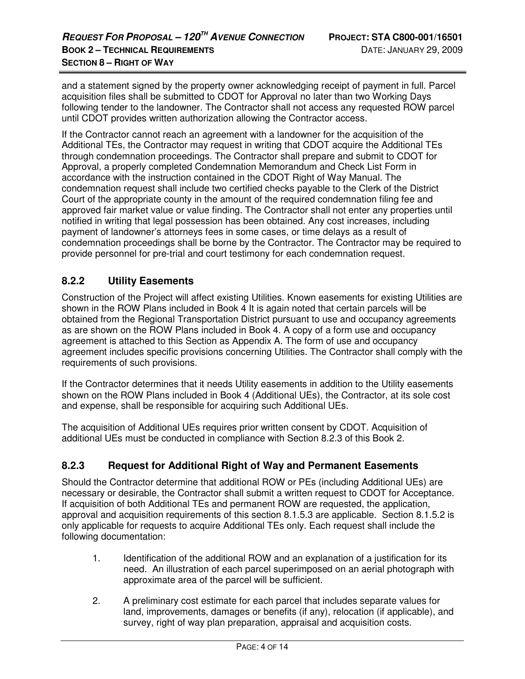and a statement signed by the property owner acknowledging receipt of payment in full. Parcel acquisition files shall be submitted to CDOT for Approval no later than two Working Days following tender to the landowner. The Contractor shall not access any requested ROW parcel until CDOT provides written authorization allowing the Contractor access.

If the Contractor cannot reach an agreement with a landowner for the acquisition of the Additional TEs, the Contractor may request in writing that CDOT acquire the Additional TEs through condemnation proceedings. The Contractor shall prepare and submit to CDOT for Approval, a properly completed Condemnation Memorandum and Check List Form in accordance with the instruction contained in the CDOT Right of Way Manual. The condemnation request shall include two certified checks payable to the Clerk of the District Court of the appropriate county in the amount of the required condemnation filing fee and approved fair market value or value finding. The Contractor shall not enter any properties until notified in writing that legal possession has been obtained. Any cost increases, including payment of landowner's attorneys fees in some cases, or time delays as a result of condemnation proceedings shall be borne by the Contractor. The Contractor may be required to provide personnel for pre-trial and court testimony for each condemnation request.

#### **8.2.2 Utility Easements**

Construction of the Project will affect existing Utilities. Known easements for existing Utilities are shown in the ROW Plans included in Book 4 It is again noted that certain parcels will be obtained from the Regional Transportation District pursuant to use and occupancy agreements as are shown on the ROW Plans included in Book 4. A copy of a form use and occupancy agreement is attached to this Section as Appendix A. The form of use and occupancy agreement includes specific provisions concerning Utilities. The Contractor shall comply with the requirements of such provisions.

If the Contractor determines that it needs Utility easements in addition to the Utility easements shown on the ROW Plans included in Book 4 (Additional UEs), the Contractor, at its sole cost and expense, shall be responsible for acquiring such Additional UEs.

The acquisition of Additional UEs requires prior written consent by CDOT. Acquisition of additional UEs must be conducted in compliance with Section 8.2.3 of this Book 2.

#### **8.2.3 Request for Additional Right of Way and Permanent Easements**

Should the Contractor determine that additional ROW or PEs (including Additional UEs) are necessary or desirable, the Contractor shall submit a written request to CDOT for Acceptance. If acquisition of both Additional TEs and permanent ROW are requested, the application, approval and acquisition requirements of this section 8.1.5.3 are applicable. Section 8.1.5.2 is only applicable for requests to acquire Additional TEs only. Each request shall include the following documentation:

- 1. Identification of the additional ROW and an explanation of a justification for its need. An illustration of each parcel superimposed on an aerial photograph with approximate area of the parcel will be sufficient.
- 2. A preliminary cost estimate for each parcel that includes separate values for land, improvements, damages or benefits (if any), relocation (if applicable), and survey, right of way plan preparation, appraisal and acquisition costs.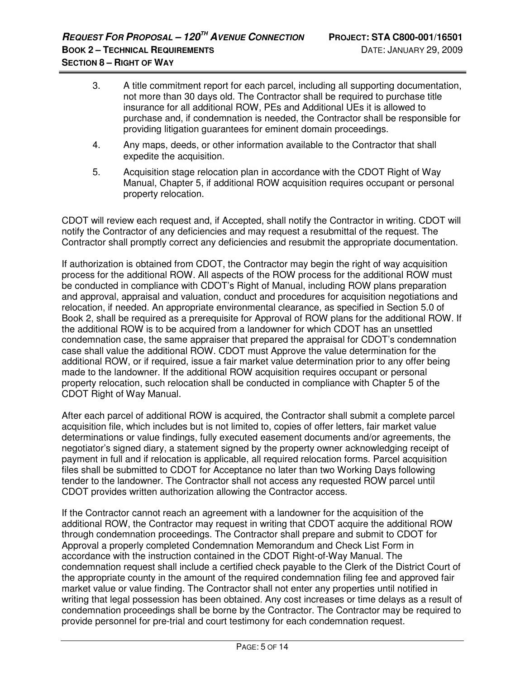- 3. A title commitment report for each parcel, including all supporting documentation, not more than 30 days old. The Contractor shall be required to purchase title insurance for all additional ROW, PEs and Additional UEs it is allowed to purchase and, if condemnation is needed, the Contractor shall be responsible for providing litigation guarantees for eminent domain proceedings.
- 4. Any maps, deeds, or other information available to the Contractor that shall expedite the acquisition.
- 5. Acquisition stage relocation plan in accordance with the CDOT Right of Way Manual, Chapter 5, if additional ROW acquisition requires occupant or personal property relocation.

CDOT will review each request and, if Accepted, shall notify the Contractor in writing. CDOT will notify the Contractor of any deficiencies and may request a resubmittal of the request. The Contractor shall promptly correct any deficiencies and resubmit the appropriate documentation.

If authorization is obtained from CDOT, the Contractor may begin the right of way acquisition process for the additional ROW. All aspects of the ROW process for the additional ROW must be conducted in compliance with CDOT's Right of Manual, including ROW plans preparation and approval, appraisal and valuation, conduct and procedures for acquisition negotiations and relocation, if needed. An appropriate environmental clearance, as specified in Section 5.0 of Book 2, shall be required as a prerequisite for Approval of ROW plans for the additional ROW. If the additional ROW is to be acquired from a landowner for which CDOT has an unsettled condemnation case, the same appraiser that prepared the appraisal for CDOT's condemnation case shall value the additional ROW. CDOT must Approve the value determination for the additional ROW, or if required, issue a fair market value determination prior to any offer being made to the landowner. If the additional ROW acquisition requires occupant or personal property relocation, such relocation shall be conducted in compliance with Chapter 5 of the CDOT Right of Way Manual.

After each parcel of additional ROW is acquired, the Contractor shall submit a complete parcel acquisition file, which includes but is not limited to, copies of offer letters, fair market value determinations or value findings, fully executed easement documents and/or agreements, the negotiator's signed diary, a statement signed by the property owner acknowledging receipt of payment in full and if relocation is applicable, all required relocation forms. Parcel acquisition files shall be submitted to CDOT for Acceptance no later than two Working Days following tender to the landowner. The Contractor shall not access any requested ROW parcel until CDOT provides written authorization allowing the Contractor access.

If the Contractor cannot reach an agreement with a landowner for the acquisition of the additional ROW, the Contractor may request in writing that CDOT acquire the additional ROW through condemnation proceedings. The Contractor shall prepare and submit to CDOT for Approval a properly completed Condemnation Memorandum and Check List Form in accordance with the instruction contained in the CDOT Right-of-Way Manual. The condemnation request shall include a certified check payable to the Clerk of the District Court of the appropriate county in the amount of the required condemnation filing fee and approved fair market value or value finding. The Contractor shall not enter any properties until notified in writing that legal possession has been obtained. Any cost increases or time delays as a result of condemnation proceedings shall be borne by the Contractor. The Contractor may be required to provide personnel for pre-trial and court testimony for each condemnation request.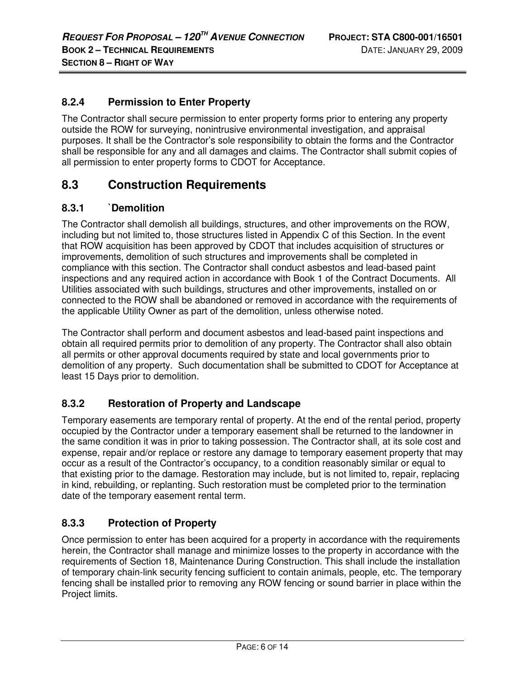### **8.2.4 Permission to Enter Property**

The Contractor shall secure permission to enter property forms prior to entering any property outside the ROW for surveying, nonintrusive environmental investigation, and appraisal purposes. It shall be the Contractor's sole responsibility to obtain the forms and the Contractor shall be responsible for any and all damages and claims. The Contractor shall submit copies of all permission to enter property forms to CDOT for Acceptance.

# **8.3 Construction Requirements**

#### **8.3.1 `Demolition**

The Contractor shall demolish all buildings, structures, and other improvements on the ROW, including but not limited to, those structures listed in Appendix C of this Section. In the event that ROW acquisition has been approved by CDOT that includes acquisition of structures or improvements, demolition of such structures and improvements shall be completed in compliance with this section. The Contractor shall conduct asbestos and lead-based paint inspections and any required action in accordance with Book 1 of the Contract Documents. All Utilities associated with such buildings, structures and other improvements, installed on or connected to the ROW shall be abandoned or removed in accordance with the requirements of the applicable Utility Owner as part of the demolition, unless otherwise noted.

The Contractor shall perform and document asbestos and lead-based paint inspections and obtain all required permits prior to demolition of any property. The Contractor shall also obtain all permits or other approval documents required by state and local governments prior to demolition of any property. Such documentation shall be submitted to CDOT for Acceptance at least 15 Days prior to demolition.

# **8.3.2 Restoration of Property and Landscape**

Temporary easements are temporary rental of property. At the end of the rental period, property occupied by the Contractor under a temporary easement shall be returned to the landowner in the same condition it was in prior to taking possession. The Contractor shall, at its sole cost and expense, repair and/or replace or restore any damage to temporary easement property that may occur as a result of the Contractor's occupancy, to a condition reasonably similar or equal to that existing prior to the damage. Restoration may include, but is not limited to, repair, replacing in kind, rebuilding, or replanting. Such restoration must be completed prior to the termination date of the temporary easement rental term.

# **8.3.3 Protection of Property**

Once permission to enter has been acquired for a property in accordance with the requirements herein, the Contractor shall manage and minimize losses to the property in accordance with the requirements of Section 18, Maintenance During Construction. This shall include the installation of temporary chain-link security fencing sufficient to contain animals, people, etc. The temporary fencing shall be installed prior to removing any ROW fencing or sound barrier in place within the Project limits.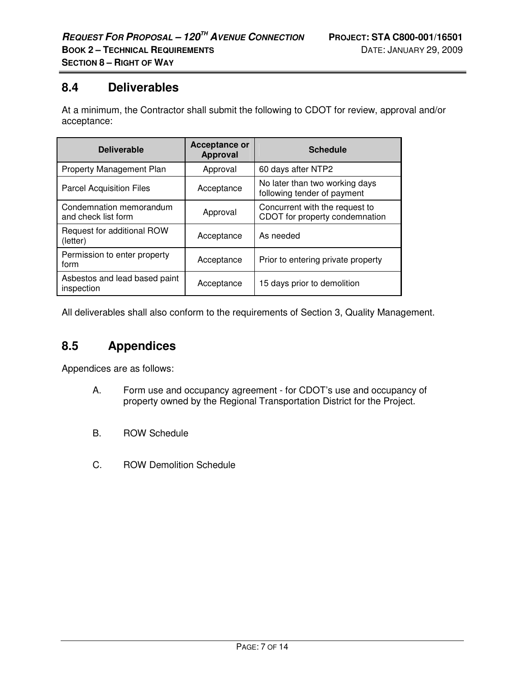# **8.4 Deliverables**

At a minimum, the Contractor shall submit the following to CDOT for review, approval and/or acceptance:

| <b>Deliverable</b>                             | Acceptance or<br><b>Approval</b> | <b>Schedule</b>                                                  |
|------------------------------------------------|----------------------------------|------------------------------------------------------------------|
| <b>Property Management Plan</b>                | Approval                         | 60 days after NTP2                                               |
| <b>Parcel Acquisition Files</b>                | Acceptance                       | No later than two working days<br>following tender of payment    |
| Condemnation memorandum<br>and check list form | Approval                         | Concurrent with the request to<br>CDOT for property condemnation |
| Request for additional ROW<br>(letter)         | Acceptance                       | As needed                                                        |
| Permission to enter property<br>form           | Acceptance                       | Prior to entering private property                               |
| Asbestos and lead based paint<br>inspection    | Acceptance                       | 15 days prior to demolition                                      |

All deliverables shall also conform to the requirements of Section 3, Quality Management.

# **8.5 Appendices**

Appendices are as follows:

- A. Form use and occupancy agreement for CDOT's use and occupancy of property owned by the Regional Transportation District for the Project.
- B. ROW Schedule
- C. ROW Demolition Schedule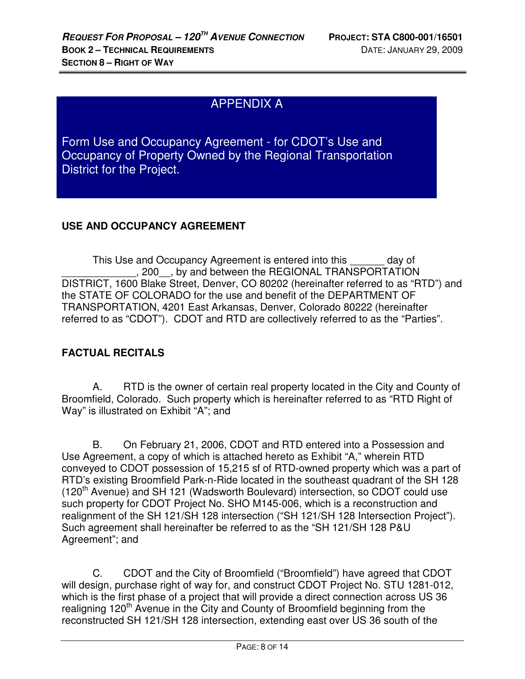# APPENDIX A

Form Use and Occupancy Agreement - for CDOT's Use and Occupancy of Property Owned by the Regional Transportation District for the Project.

#### **USE AND OCCUPANCY AGREEMENT**

This Use and Occupancy Agreement is entered into this \_\_\_\_\_\_ day of \_\_\_\_\_\_\_\_\_\_\_\_\_, 200\_\_, by and between the REGIONAL TRANSPORTATION DISTRICT, 1600 Blake Street, Denver, CO 80202 (hereinafter referred to as "RTD") and the STATE OF COLORADO for the use and benefit of the DEPARTMENT OF TRANSPORTATION, 4201 East Arkansas, Denver, Colorado 80222 (hereinafter referred to as "CDOT"). CDOT and RTD are collectively referred to as the "Parties".

# **FACTUAL RECITALS**

A. RTD is the owner of certain real property located in the City and County of Broomfield, Colorado. Such property which is hereinafter referred to as "RTD Right of Way" is illustrated on Exhibit "A"; and

B. On February 21, 2006, CDOT and RTD entered into a Possession and Use Agreement, a copy of which is attached hereto as Exhibit "A," wherein RTD conveyed to CDOT possession of 15,215 sf of RTD-owned property which was a part of RTD's existing Broomfield Park-n-Ride located in the southeast quadrant of the SH 128 (120<sup>th</sup> Avenue) and SH 121 (Wadsworth Boulevard) intersection, so CDOT could use such property for CDOT Project No. SHO M145-006, which is a reconstruction and realignment of the SH 121/SH 128 intersection ("SH 121/SH 128 Intersection Project"). Such agreement shall hereinafter be referred to as the "SH 121/SH 128 P&U Agreement"; and

C. CDOT and the City of Broomfield ("Broomfield") have agreed that CDOT will design, purchase right of way for, and construct CDOT Project No. STU 1281-012, which is the first phase of a project that will provide a direct connection across US 36 realigning 120<sup>th</sup> Avenue in the City and County of Broomfield beginning from the reconstructed SH 121/SH 128 intersection, extending east over US 36 south of the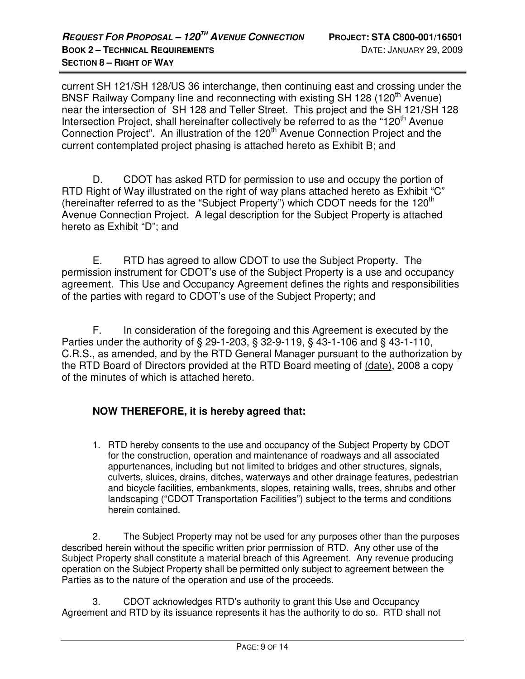current SH 121/SH 128/US 36 interchange, then continuing east and crossing under the BNSF Railway Company line and reconnecting with existing SH 128 (120<sup>th</sup> Avenue) near the intersection of SH 128 and Teller Street. This project and the SH 121/SH 128 Intersection Project, shall hereinafter collectively be referred to as the "120<sup>th</sup> Avenue Connection Project". An illustration of the 120<sup>th</sup> Avenue Connection Project and the current contemplated project phasing is attached hereto as Exhibit B; and

D. CDOT has asked RTD for permission to use and occupy the portion of RTD Right of Way illustrated on the right of way plans attached hereto as Exhibit "C" (hereinafter referred to as the "Subject Property") which CDOT needs for the 120<sup>th</sup> Avenue Connection Project. A legal description for the Subject Property is attached hereto as Exhibit "D"; and

E. RTD has agreed to allow CDOT to use the Subject Property. The permission instrument for CDOT's use of the Subject Property is a use and occupancy agreement. This Use and Occupancy Agreement defines the rights and responsibilities of the parties with regard to CDOT's use of the Subject Property; and

F. In consideration of the foregoing and this Agreement is executed by the Parties under the authority of § 29-1-203, § 32-9-119, § 43-1-106 and § 43-1-110, C.R.S., as amended, and by the RTD General Manager pursuant to the authorization by the RTD Board of Directors provided at the RTD Board meeting of (date), 2008 a copy of the minutes of which is attached hereto.

# **NOW THEREFORE, it is hereby agreed that:**

1. RTD hereby consents to the use and occupancy of the Subject Property by CDOT for the construction, operation and maintenance of roadways and all associated appurtenances, including but not limited to bridges and other structures, signals, culverts, sluices, drains, ditches, waterways and other drainage features, pedestrian and bicycle facilities, embankments, slopes, retaining walls, trees, shrubs and other landscaping ("CDOT Transportation Facilities") subject to the terms and conditions herein contained.

2. The Subject Property may not be used for any purposes other than the purposes described herein without the specific written prior permission of RTD. Any other use of the Subject Property shall constitute a material breach of this Agreement. Any revenue producing operation on the Subject Property shall be permitted only subject to agreement between the Parties as to the nature of the operation and use of the proceeds.

3. CDOT acknowledges RTD's authority to grant this Use and Occupancy Agreement and RTD by its issuance represents it has the authority to do so. RTD shall not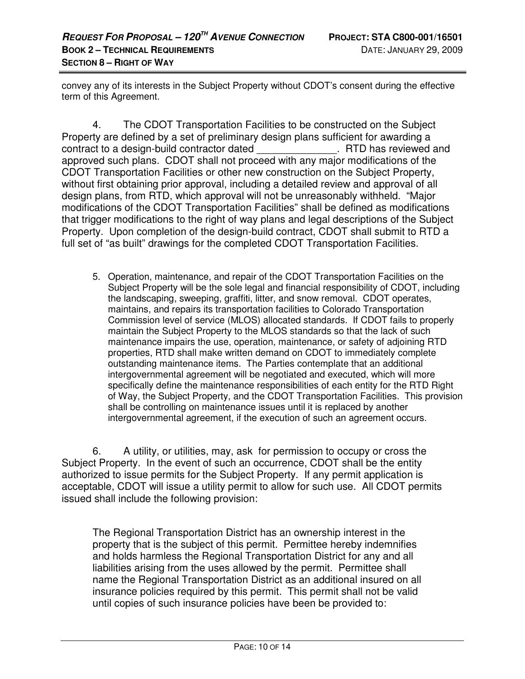convey any of its interests in the Subject Property without CDOT's consent during the effective term of this Agreement.

 4. The CDOT Transportation Facilities to be constructed on the Subject Property are defined by a set of preliminary design plans sufficient for awarding a contract to a design-build contractor dated \_\_\_\_\_\_\_\_\_\_\_\_\_\_. RTD has reviewed and approved such plans. CDOT shall not proceed with any major modifications of the CDOT Transportation Facilities or other new construction on the Subject Property, without first obtaining prior approval, including a detailed review and approval of all design plans, from RTD, which approval will not be unreasonably withheld. "Major modifications of the CDOT Transportation Facilities" shall be defined as modifications that trigger modifications to the right of way plans and legal descriptions of the Subject Property. Upon completion of the design-build contract, CDOT shall submit to RTD a full set of "as built" drawings for the completed CDOT Transportation Facilities.

5. Operation, maintenance, and repair of the CDOT Transportation Facilities on the Subject Property will be the sole legal and financial responsibility of CDOT, including the landscaping, sweeping, graffiti, litter, and snow removal. CDOT operates, maintains, and repairs its transportation facilities to Colorado Transportation Commission level of service (MLOS) allocated standards. If CDOT fails to properly maintain the Subject Property to the MLOS standards so that the lack of such maintenance impairs the use, operation, maintenance, or safety of adjoining RTD properties, RTD shall make written demand on CDOT to immediately complete outstanding maintenance items. The Parties contemplate that an additional intergovernmental agreement will be negotiated and executed, which will more specifically define the maintenance responsibilities of each entity for the RTD Right of Way, the Subject Property, and the CDOT Transportation Facilities. This provision shall be controlling on maintenance issues until it is replaced by another intergovernmental agreement, if the execution of such an agreement occurs.

 6. A utility, or utilities, may, ask for permission to occupy or cross the Subject Property. In the event of such an occurrence, CDOT shall be the entity authorized to issue permits for the Subject Property. If any permit application is acceptable, CDOT will issue a utility permit to allow for such use. All CDOT permits issued shall include the following provision:

The Regional Transportation District has an ownership interest in the property that is the subject of this permit. Permittee hereby indemnifies and holds harmless the Regional Transportation District for any and all liabilities arising from the uses allowed by the permit. Permittee shall name the Regional Transportation District as an additional insured on all insurance policies required by this permit. This permit shall not be valid until copies of such insurance policies have been be provided to: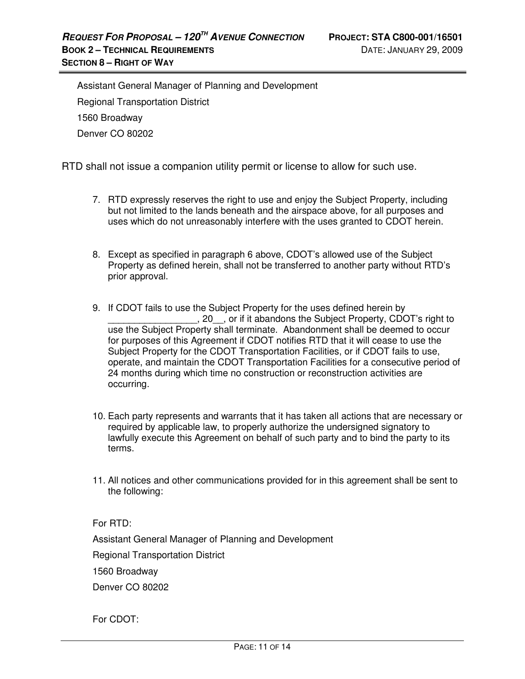Assistant General Manager of Planning and Development Regional Transportation District 1560 Broadway Denver CO 80202

RTD shall not issue a companion utility permit or license to allow for such use.

- 7. RTD expressly reserves the right to use and enjoy the Subject Property, including but not limited to the lands beneath and the airspace above, for all purposes and uses which do not unreasonably interfere with the uses granted to CDOT herein.
- 8. Except as specified in paragraph 6 above, CDOT's allowed use of the Subject Property as defined herein, shall not be transferred to another party without RTD's prior approval.
- 9. If CDOT fails to use the Subject Property for the uses defined herein by \_\_\_\_\_\_\_\_\_\_\_\_\_\_\_\_\_, 20\_\_, or if it abandons the Subject Property, CDOT's right to use the Subject Property shall terminate. Abandonment shall be deemed to occur for purposes of this Agreement if CDOT notifies RTD that it will cease to use the Subject Property for the CDOT Transportation Facilities, or if CDOT fails to use, operate, and maintain the CDOT Transportation Facilities for a consecutive period of 24 months during which time no construction or reconstruction activities are occurring.
- 10. Each party represents and warrants that it has taken all actions that are necessary or required by applicable law, to properly authorize the undersigned signatory to lawfully execute this Agreement on behalf of such party and to bind the party to its terms.
- 11. All notices and other communications provided for in this agreement shall be sent to the following:

For RTD:

Assistant General Manager of Planning and Development

Regional Transportation District

1560 Broadway

Denver CO 80202

For CDOT: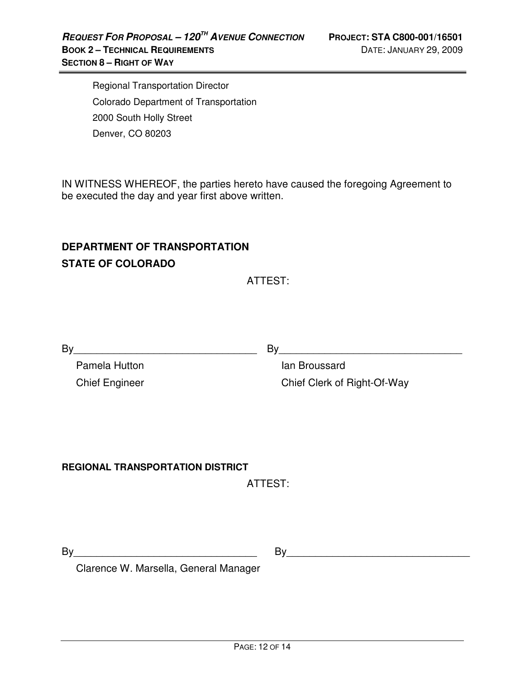Regional Transportation Director Colorado Department of Transportation 2000 South Holly Street Denver, CO 80203

IN WITNESS WHEREOF, the parties hereto have caused the foregoing Agreement to be executed the day and year first above written.

# **DEPARTMENT OF TRANSPORTATION STATE OF COLORADO**

ATTEST:

 Pamela Hutton Chief Engineer

By\_\_\_\_\_\_\_\_\_\_\_\_\_\_\_\_\_\_\_\_\_\_\_\_\_\_\_\_\_\_\_\_ By\_\_\_\_\_\_\_\_\_\_\_\_\_\_\_\_\_\_\_\_\_\_\_\_\_\_\_\_\_\_\_\_

 Ian Broussard Chief Clerk of Right-Of-Way

# **REGIONAL TRANSPORTATION DISTRICT**

ATTEST:

By\_\_\_\_\_\_\_\_\_\_\_\_\_\_\_\_\_\_\_\_\_\_\_\_\_\_\_\_\_\_\_\_

By\_\_\_\_\_\_\_\_\_\_\_\_\_\_\_\_\_\_\_\_\_\_\_\_\_\_\_\_\_\_\_\_

Clarence W. Marsella, General Manager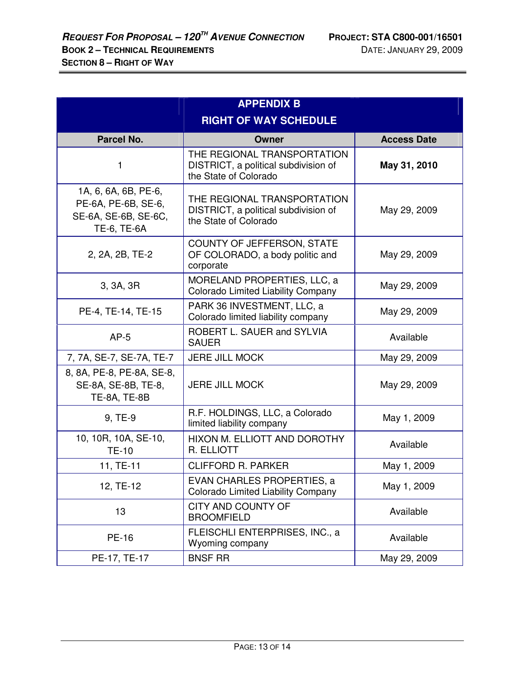| <b>APPENDIX B</b>                                                                  |                                                                                              |                    |  |
|------------------------------------------------------------------------------------|----------------------------------------------------------------------------------------------|--------------------|--|
| <b>RIGHT OF WAY SCHEDULE</b>                                                       |                                                                                              |                    |  |
| Parcel No.                                                                         | Owner                                                                                        | <b>Access Date</b> |  |
| 1                                                                                  | THE REGIONAL TRANSPORTATION<br>DISTRICT, a political subdivision of<br>the State of Colorado | May 31, 2010       |  |
| 1A, 6, 6A, 6B, PE-6,<br>PE-6A, PE-6B, SE-6,<br>SE-6A, SE-6B, SE-6C,<br>TE-6, TE-6A | THE REGIONAL TRANSPORTATION<br>DISTRICT, a political subdivision of<br>the State of Colorado | May 29, 2009       |  |
| 2, 2A, 2B, TE-2                                                                    | COUNTY OF JEFFERSON, STATE<br>OF COLORADO, a body politic and<br>corporate                   | May 29, 2009       |  |
| 3, 3A, 3R                                                                          | MORELAND PROPERTIES, LLC, a<br><b>Colorado Limited Liability Company</b>                     | May 29, 2009       |  |
| PE-4, TE-14, TE-15                                                                 | PARK 36 INVESTMENT, LLC, a<br>Colorado limited liability company                             | May 29, 2009       |  |
| $AP-5$                                                                             | ROBERT L. SAUER and SYLVIA<br><b>SAUER</b>                                                   | Available          |  |
| 7, 7A, SE-7, SE-7A, TE-7                                                           | <b>JERE JILL MOCK</b>                                                                        | May 29, 2009       |  |
| 8, 8A, PE-8, PE-8A, SE-8,<br>SE-8A, SE-8B, TE-8,<br>TE-8A, TE-8B                   | <b>JERE JILL MOCK</b>                                                                        | May 29, 2009       |  |
| 9, TE-9                                                                            | R.F. HOLDINGS, LLC, a Colorado<br>limited liability company                                  | May 1, 2009        |  |
| 10, 10R, 10A, SE-10,<br><b>TE-10</b>                                               | HIXON M. ELLIOTT AND DOROTHY<br>R. ELLIOTT                                                   | Available          |  |
| 11, TE-11                                                                          | <b>CLIFFORD R. PARKER</b>                                                                    | May 1, 2009        |  |
| 12, TE-12                                                                          | EVAN CHARLES PROPERTIES, a<br>Colorado Limited Liability Company                             | May 1, 2009        |  |
| 13                                                                                 | CITY AND COUNTY OF<br><b>BROOMFIELD</b>                                                      | Available          |  |
| <b>PE-16</b>                                                                       | FLEISCHLI ENTERPRISES, INC., a<br>Wyoming company                                            | Available          |  |
| PE-17, TE-17                                                                       | <b>BNSF RR</b>                                                                               | May 29, 2009       |  |